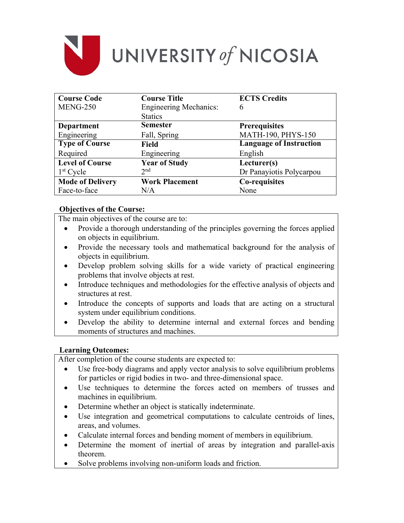

| <b>Course Code</b>      | <b>Course Title</b>           | <b>ECTS Credits</b>            |
|-------------------------|-------------------------------|--------------------------------|
| <b>MENG-250</b>         | <b>Engineering Mechanics:</b> | 6                              |
|                         | <b>Statics</b>                |                                |
| <b>Department</b>       | <b>Semester</b>               | <b>Prerequisites</b>           |
| Engineering             | Fall, Spring                  | MATH-190, PHYS-150             |
| <b>Type of Course</b>   | Field                         | <b>Language of Instruction</b> |
| Required                | Engineering                   | English                        |
| <b>Level of Course</b>  | <b>Year of Study</b>          | Lecturer(s)                    |
| $1st$ Cycle             | $2^{nd}$                      | Dr Panayiotis Polycarpou       |
| <b>Mode of Delivery</b> | <b>Work Placement</b>         | Co-requisites                  |
| Face-to-face            | N/A                           | None                           |

### **Objectives of the Course:**

The main objectives of the course are to:

- Provide a thorough understanding of the principles governing the forces applied on objects in equilibrium.
- Provide the necessary tools and mathematical background for the analysis of objects in equilibrium.
- Develop problem solving skills for a wide variety of practical engineering problems that involve objects at rest.
- Introduce techniques and methodologies for the effective analysis of objects and structures at rest.
- Introduce the concepts of supports and loads that are acting on a structural system under equilibrium conditions.
- Develop the ability to determine internal and external forces and bending moments of structures and machines.

# **Learning Outcomes:**

After completion of the course students are expected to:

- Use free-body diagrams and apply vector analysis to solve equilibrium problems for particles or rigid bodies in two- and three-dimensional space.
- Use techniques to determine the forces acted on members of trusses and machines in equilibrium.
- Determine whether an object is statically indeterminate.
- Use integration and geometrical computations to calculate centroids of lines, areas, and volumes.
- Calculate internal forces and bending moment of members in equilibrium.
- Determine the moment of inertial of areas by integration and parallel-axis theorem.
- Solve problems involving non-uniform loads and friction.